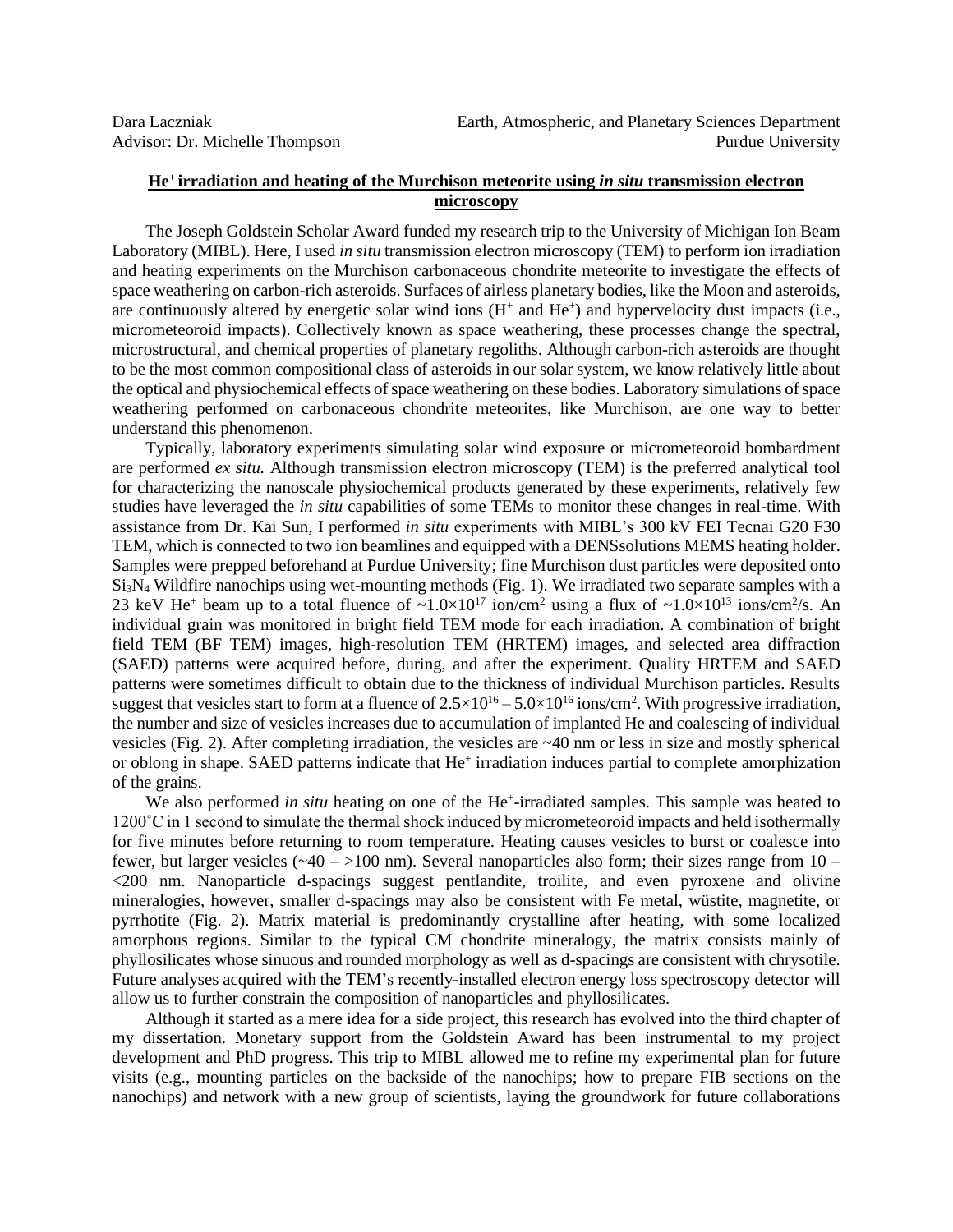## **He<sup>+</sup>irradiation and heating of the Murchison meteorite using** *in situ* **transmission electron microscopy**

The Joseph Goldstein Scholar Award funded my research trip to the University of Michigan Ion Beam Laboratory (MIBL). Here, I used *in situ* transmission electron microscopy (TEM) to perform ion irradiation and heating experiments on the Murchison carbonaceous chondrite meteorite to investigate the effects of space weathering on carbon-rich asteroids. Surfaces of airless planetary bodies, like the Moon and asteroids, are continuously altered by energetic solar wind ions  $(H^+)$  and  $He^+)$  and hypervelocity dust impacts (i.e., micrometeoroid impacts). Collectively known as space weathering, these processes change the spectral, microstructural, and chemical properties of planetary regoliths. Although carbon-rich asteroids are thought to be the most common compositional class of asteroids in our solar system, we know relatively little about the optical and physiochemical effects of space weathering on these bodies. Laboratory simulations of space weathering performed on carbonaceous chondrite meteorites, like Murchison, are one way to better understand this phenomenon.

Typically, laboratory experiments simulating solar wind exposure or micrometeoroid bombardment are performed *ex situ.* Although transmission electron microscopy (TEM) is the preferred analytical tool for characterizing the nanoscale physiochemical products generated by these experiments, relatively few studies have leveraged the *in situ* capabilities of some TEMs to monitor these changes in real-time. With assistance from Dr. Kai Sun, I performed *in situ* experiments with MIBL's 300 kV FEI Tecnai G20 F30 TEM, which is connected to two ion beamlines and equipped with a DENSsolutions MEMS heating holder. Samples were prepped beforehand at Purdue University; fine Murchison dust particles were deposited onto Si3N<sup>4</sup> Wildfire nanochips using wet-mounting methods (Fig. 1). We irradiated two separate samples with a 23 keV He<sup>+</sup> beam up to a total fluence of  $\sim 1.0 \times 10^{17}$  ion/cm<sup>2</sup> using a flux of  $\sim 1.0 \times 10^{13}$  ions/cm<sup>2</sup>/s. An individual grain was monitored in bright field TEM mode for each irradiation. A combination of bright field TEM (BF TEM) images, high-resolution TEM (HRTEM) images, and selected area diffraction (SAED) patterns were acquired before, during, and after the experiment. Quality HRTEM and SAED patterns were sometimes difficult to obtain due to the thickness of individual Murchison particles. Results suggest that vesicles start to form at a fluence of  $2.5 \times 10^{16} - 5.0 \times 10^{16}$  ions/cm<sup>2</sup>. With progressive irradiation, the number and size of vesicles increases due to accumulation of implanted He and coalescing of individual vesicles (Fig. 2). After completing irradiation, the vesicles are ~40 nm or less in size and mostly spherical or oblong in shape. SAED patterns indicate that He<sup>+</sup> irradiation induces partial to complete amorphization of the grains.

We also performed *in situ* heating on one of the He<sup>+</sup>-irradiated samples. This sample was heated to 1200˚C in 1 second to simulate the thermal shock induced by micrometeoroid impacts and held isothermally for five minutes before returning to room temperature. Heating causes vesicles to burst or coalesce into fewer, but larger vesicles  $(\sim40 - 100 \text{ nm})$ . Several nanoparticles also form; their sizes range from 10 – <200 nm. Nanoparticle d-spacings suggest pentlandite, troilite, and even pyroxene and olivine mineralogies, however, smaller d-spacings may also be consistent with Fe metal, wüstite, magnetite, or pyrrhotite (Fig. 2). Matrix material is predominantly crystalline after heating, with some localized amorphous regions. Similar to the typical CM chondrite mineralogy, the matrix consists mainly of phyllosilicates whose sinuous and rounded morphology as well as d-spacings are consistent with chrysotile. Future analyses acquired with the TEM's recently-installed electron energy loss spectroscopy detector will allow us to further constrain the composition of nanoparticles and phyllosilicates.

Although it started as a mere idea for a side project, this research has evolved into the third chapter of my dissertation. Monetary support from the Goldstein Award has been instrumental to my project development and PhD progress. This trip to MIBL allowed me to refine my experimental plan for future visits (e.g., mounting particles on the backside of the nanochips; how to prepare FIB sections on the nanochips) and network with a new group of scientists, laying the groundwork for future collaborations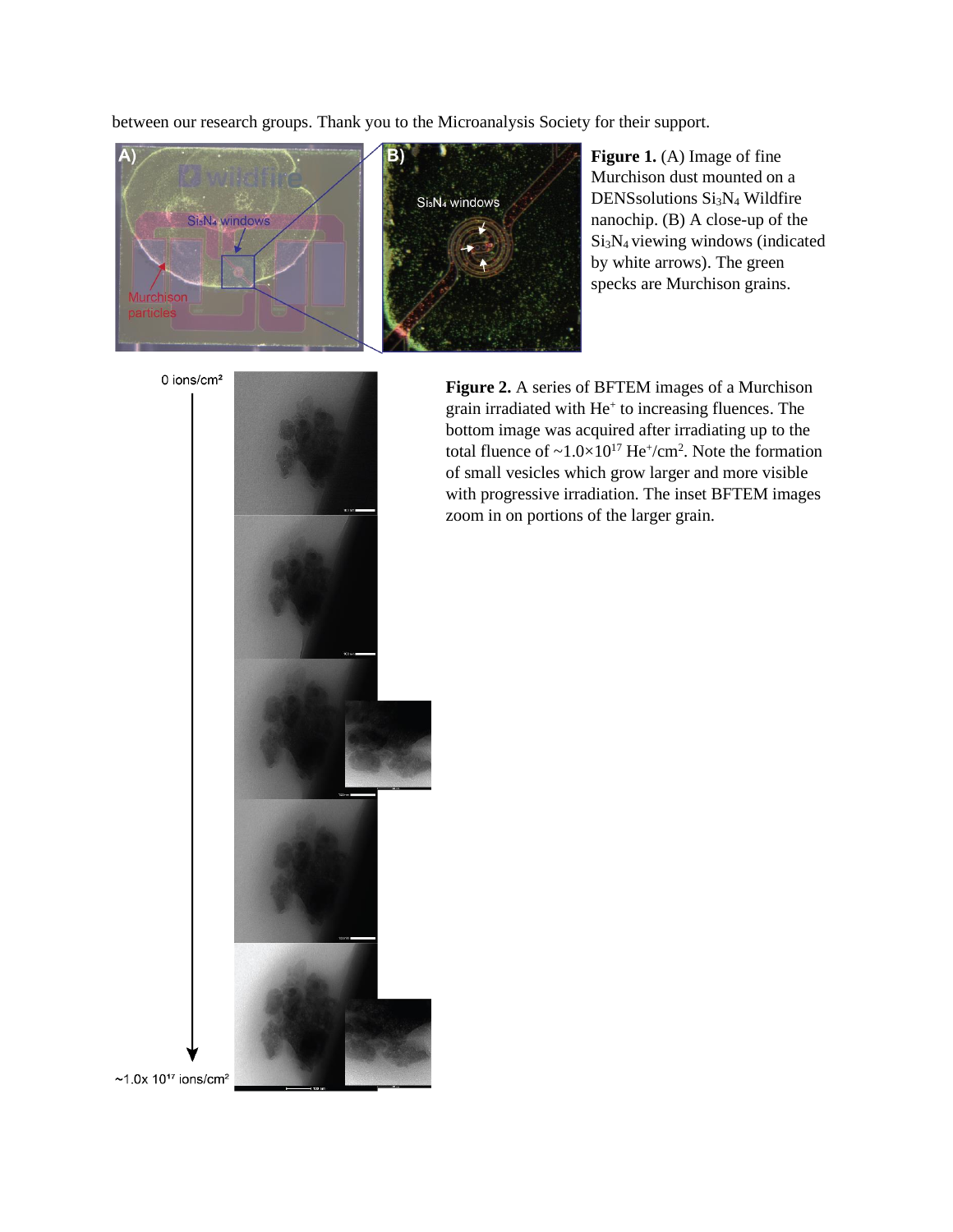between our research groups. Thank you to the Microanalysis Society for their support.



**Figure 1.** (A) Image of fine Murchison dust mounted on a DENSsolutions Si<sub>3</sub>N<sub>4</sub> Wildfire nanochip. (B) A close-up of the Si3N<sup>4</sup> viewing windows (indicated by white arrows). The green specks are Murchison grains.

0 ions/cm $2$ 



**Figure 2.** A series of BFTEM images of a Murchison grain irradiated with He<sup>+</sup> to increasing fluences. The bottom image was acquired after irradiating up to the total fluence of  $\sim 1.0 \times 10^{17}$  He<sup>+</sup>/cm<sup>2</sup>. Note the formation of small vesicles which grow larger and more visible with progressive irradiation. The inset BFTEM images zoom in on portions of the larger grain.